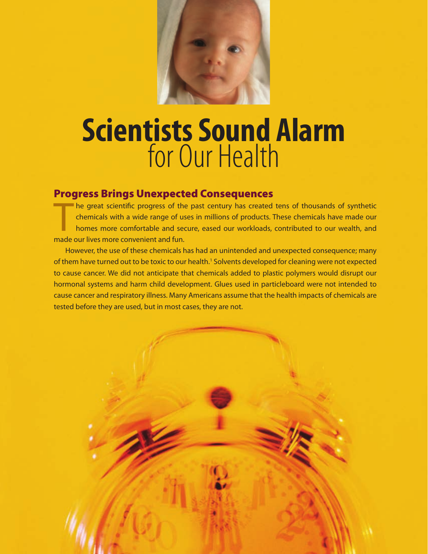

# **Scientists Sound Alarm** for Our Health

## Progress Brings Unexpected Consequences

The great scientific progress of the<br>chemicals with a wide range of us<br>homes more comfortable and sec<br>made our lives more convenient and fun. he great scientific progress of the past century has created tens of thousands of synthetic chemicals with a wide range of uses in millions of products. These chemicals have made our homes more comfortable and secure, eased our workloads, contributed to our wealth, and

 However, the use of these chemicals has had an unintended and unexpected consequence; many of them have turned out to be toxic to our health.<sup>1</sup> Solvents developed for cleaning were not expected to cause cancer. We did not anticipate that chemicals added to plastic polymers would disrupt our hormonal systems and harm child development. Glues used in particleboard were not intended to cause cancer and respiratory illness. Many Americans assume that the health impacts of chemicals are tested before they are used, but in most cases, they are not.

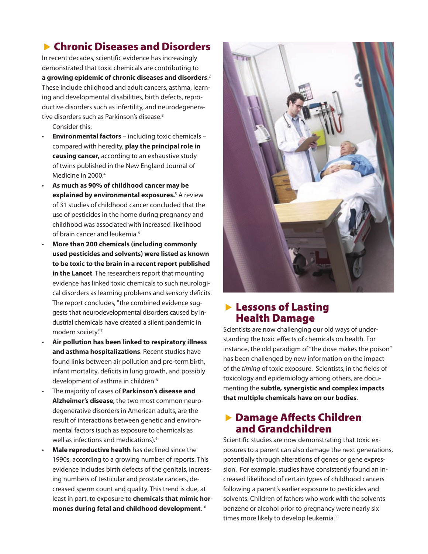# **Exercise** Chronic Diseases and Disorders

In recent decades, scientific evidence has increasingly demonstrated that toxic chemicals are contributing to **a growing epidemic of chronic diseases and disorders**. 2 These include childhood and adult cancers, asthma, learning and developmental disabilities, birth defects, reproductive disorders such as infertility, and neurodegenerative disorders such as Parkinson's disease.<sup>3</sup>

Consider this:

- **Environmental factors** including toxic chemicals compared with heredity, **play the principal role in causing cancer,** according to an exhaustive study of twins published in the New England Journal of Medicine in 2000.<sup>4</sup>
- **As much as 90% of childhood cancer may be explained by environmental exposures.**<sup>5</sup> A review of 31 studies of childhood cancer concluded that the use of pesticides in the home during pregnancy and childhood was associated with increased likelihood of brain cancer and leukemia.<sup>6</sup>
- **More than 200 chemicals (including commonly used pesticides and solvents) were listed as known to be toxic to the brain in a recent report published in the Lancet**. The researchers report that mounting evidence has linked toxic chemicals to such neurological disorders as learning problems and sensory deficits. The report concludes, "the combined evidence suggests that neurodevelopmental disorders caused by industrial chemicals have created a silent pandemic in modern society."7
- **Air pollution has been linked to respiratory illness and asthma hospitalizations**. Recent studies have found links between air pollution and pre-termbirth, infant mortality, deficits in lung growth, and possibly development of asthma in children.<sup>8</sup>
- The majority of cases of **Parkinson's disease and Alzheimer's disease**, the two most common neurodegenerative disorders in American adults, are the result of interactions between genetic and environmental factors (such as exposure to chemicals as well as infections and medications).<sup>9</sup>
- **Male reproductive health** has declined since the 1990s, according to a growing number of reports. This evidence includes birth defects of the genitals, increasing numbers of testicular and prostate cancers, decreased sperm count and quality. This trend is due, at least in part, to exposure to **chemicals that mimic hormones during fetal and childhood development**. 10



## **Exercise Section** Health Damage

Scientists are now challenging our old ways of understanding the toxic effects of chemicals on health. For instance, the old paradigm of "the dose makes the poison" has been challenged by new information on the impact of the *timing* of toxic exposure. Scientists, in the fields of toxicology and epidemiology among others, are documenting the **subtle, synergistic and complex impacts that multiple chemicals have on our bodies**.

## **Damage Affects Children** and Grandchildren

Scientific studies are now demonstrating that toxic exposures to a parent can also damage the next generations, potentially through alterations of genes or gene expression. For example, studies have consistently found an increased likelihood of certain types of childhood cancers following a parent's earlier exposure to pesticides and solvents. Children of fathers who work with the solvents benzene or alcohol prior to pregnancy were nearly six times more likely to develop leukemia.<sup>11</sup>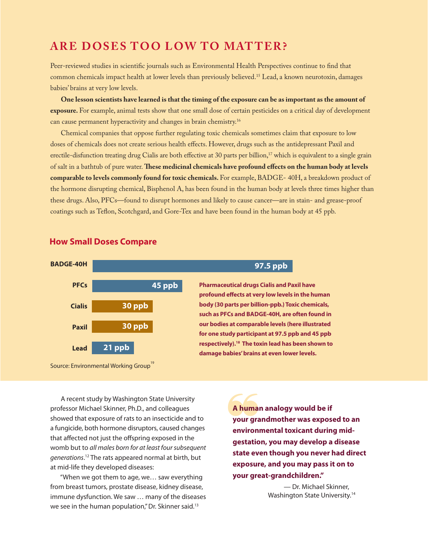# **ARE DOSES TOO LOW TO MATTER?**

Peer-reviewed studies in scientific journals such as Environmental Health Perspectives continue to find that common chemicals impact health at lower levels than previously believed.15 Lead, a known neurotoxin, damages babies' brains at very low levels.

**One lesson scientists have learned is that the timing of the exposure can be as important as the amount of exposure.** For example, animal tests show that one small dose of certain pesticides on a critical day of development can cause permanent hyperactivity and changes in brain chemistry.16

Chemical companies that oppose further regulating toxic chemicals sometimes claim that exposure to low doses of chemicals does not create serious health effects. However, drugs such as the antidepressant Paxil and erectile-disfunction treating drug Cialis are both effective at 30 parts per billion,<sup>17</sup> which is equivalent to a single grain of salt in a bathtub of pure water. **These medicinal chemicals have profound effects on the human body at levels comparable to levels commonly found for toxic chemicals.** For example, BADGE- 40H, a breakdown product of the hormone disrupting chemical, Bisphenol A, has been found in the human body at levels three times higher than these drugs. Also, PFCs—found to disrupt hormones and likely to cause cancer—are in stain- and grease-proof coatings such as Teflon, Scotchgard, and Gore-Tex and have been found in the human body at 45 ppb.

#### **How Small Doses Compare**



Source: Environmental Working Group<sup>19</sup>

 A recent study by Washington State University professor Michael Skinner, Ph.D., and colleagues showed that exposure of rats to an insecticide and to a fungicide, both hormone disruptors, caused changes that affected not just the offspring exposed in the womb but to *all males born for at least four subsequent generations*. 12 The rats appeared normal at birth, but at mid-life they developed diseases:

 "When we got them to age, we… saw everything from breast tumors, prostate disease, kidney disease, immune dysfunction. We saw … many of the diseases we see in the human population," Dr. Skinner said.<sup>13</sup>

A human<br>your gra<br>environ **A human analogy would be if your grandmother was exposed to an environmental toxicant during midgestation, you may develop a disease state even though you never had direct exposure, and you may pass it on to your great-grandchildren."**

> — Dr. Michael Skinner, Washington State University.<sup>14</sup>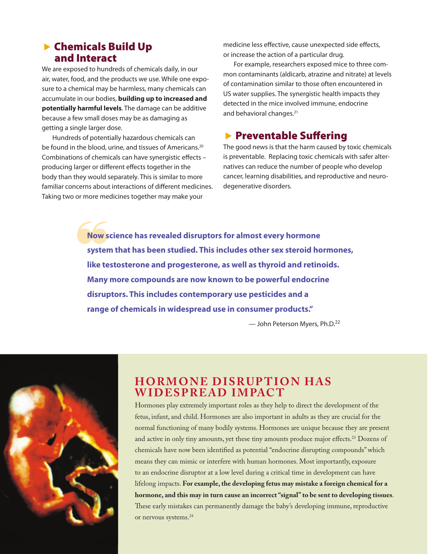## ▶ Chemicals Build Up and Interact

We are exposed to hundreds of chemicals daily, in our air, water, food, and the products we use. While one exposure to a chemical may be harmless, many chemicals can accumulate in our bodies, **building up to increased and potentially harmful levels**. The damage can be additive because a few small doses may be as damaging as getting a single larger dose.

 Hundreds of potentially hazardous chemicals can be found in the blood, urine, and tissues of Americans.<sup>20</sup> Combinations of chemicals can have synergistic effects – producing larger or different effects together in the body than they would separately. This is similar to more familiar concerns about interactions of different medicines. Taking two or more medicines together may make your

medicine less effective, cause unexpected side effects, or increase the action of a particular drug.

 For example, researchers exposed mice to three common contaminants (aldicarb, atrazine and nitrate) at levels of contamination similar to those often encountered in US water supplies. The synergistic health impacts they detected in the mice involved immune, endocrine and behavioral changes.<sup>21</sup>

## **Exercise Suffering**

The good news is that the harm caused by toxic chemicals is preventable. Replacing toxic chemicals with safer alternatives can reduce the number of people who develop cancer, learning disabilities, and reproductive and neurodegenerative disorders.

Now s<br>syster **Now science has revealed disruptors for almost every hormone system that has been studied. This includes other sex steroid hormones, like testosterone and progesterone, as well as thyroid and retinoids. Many more compounds are now known to be powerful endocrine disruptors. This includes contemporary use pesticides and a range of chemicals in widespread use in consumer products."**

— John Peterson Myers, Ph.D.22



# **HORMONE DISRUPTION HAS Wide s p r ead Impac t**

Hormones play extremely important roles as they help to direct the development of the fetus, infant, and child. Hormones are also important in adults as they are crucial for the normal functioning of many bodily systems. Hormones are unique because they are present and active in only tiny amounts, yet these tiny amounts produce major effects.<sup>23</sup> Dozens of chemicals have now been identified as potential "endocrine disrupting compounds" which means they can mimic or interfere with human hormones. Most importantly, exposure to an endocrine disruptor at a low level during a critical time in development can have lifelong impacts. **For example, the developing fetus may mistake a foreign chemical for a hormone, and this may in turn cause an incorrect "signal" to be sent to developing tissues**. These early mistakes can permanently damage the baby's developing immune, reproductive or nervous systems.24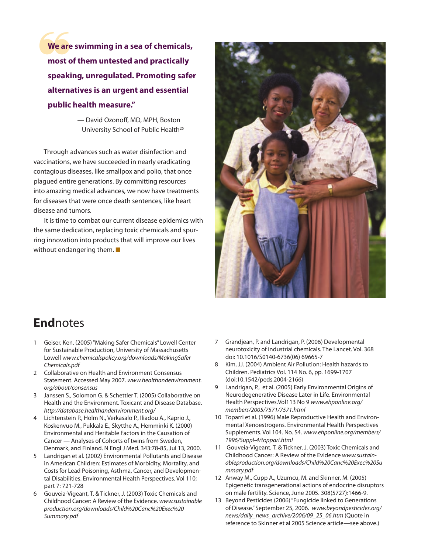We are<br>most o **We are swimming in a sea of chemicals, most of them untested and practically speaking, unregulated. Promoting safer alternatives is an urgent and essential public health measure."**

> — David Ozonoff, MD, MPH, Boston University School of Public Health<sup>25</sup>

 Through advances such as water disinfection and vaccinations, we have succeeded in nearly eradicating contagious diseases, like smallpox and polio, that once plagued entire generations. By committing resources into amazing medical advances, we now have treatments for diseases that were once death sentences, like heart disease and tumors.

 It is time to combat our current disease epidemics with the same dedication, replacing toxic chemicals and spurring innovation into products that will improve our lives without endangering them.  $\blacksquare$ 



# **End**notes

- 1 Geiser, Ken. (2005) "Making Safer Chemicals" Lowell Center for Sustainable Production, University of Massachusetts Lowell *www.chemicalspolicy.org/downloads/MakingSafer Chemicals.pdf*
- 2 Collaborative on Health and Environment Consensus Statement. Accessed May 2007. *www.healthandenvironment. org/about/consensus*
- 3 Janssen S., Solomon G. & Schettler T. (2005) Collaborative on Health and the Environment. Toxicant and Disease Database. *http://database.healthandenvironment.org/*
- 4 Lichtenstein P., Holm N., Verkasalo P., Iliadou A., Kaprio J., Koskenvuo M., Pukkala E., Skytthe A., Hemminki K. (2000) Environmental and Heritable Factors in the Causation of Cancer — Analyses of Cohorts of twins from Sweden, Denmark, and Finland. N Engl J Med. 343:78-85, Jul 13, 2000.
- 5 Landrigan et al. (2002) Environmental Pollutants and Disease in American Children: Estimates of Morbidity, Mortality, and Costs for Lead Poisoning, Asthma, Cancer, and Developmental Disabilities. Environmental Health Perspectives. Vol 110; part 7: 721-728
- 6 Gouveia-Vigeant, T. & Tickner, J. (2003) Toxic Chemicals and Childhood Cancer: A Review of the Evidence. *www.sustainable production.org/downloads/Child%20Canc%20Exec%20 Summary.pdf*
- 7 Grandjean, P. and Landrigan, P. (2006) Developmental neurotoxicity of industrial chemicals. The Lancet. Vol. 368 doi: 10.1016/S0140-6736(06) 69665-7
- 8 Kim, JJ. (2004) Ambient Air Pollution: Health hazards to Children. Pediatrics Vol. 114 No. 6, pp. 1699-1707 (doi:10.1542/peds.2004-2166)
- 9 Landrigan, P., et al. (2005) Early Environmental Origins of Neurodegenerative Disease Later in Life. Environmental Health Perspectives.Vol113 No 9 *www.ehponline.org/ members/2005/7571/7571.html*
- 10 Toparri et al. (1996) Male Reproductive Health and Environmental Xenoestrogens. Environmental Health Perspectives Supplements. Vol 104. No. S4. *www.ehponline.org/members/ 1996/Suppl-4/toppari.html*
- 11 Gouveia-Vigeant, T. & Tickner, J. (2003) Toxic Chemicals and Childhood Cancer: A Review of the Evidence *www.sustainableproduction.org/downloads/Child%20Canc%20Exec%20Su mmary.pdf*
- 12 Anway M., Cupp A., Uzumcu, M. and Skinner, M. (2005) Epigenetic transgenerational actions of endocrine disruptors on male fertility. Science, June 2005. 308(5727):1466-9.
- 13 Beyond Pesticides (2006) "Fungicide linked to Generations of Disease." September 25, 2006. *www.beyondpesticides.org/ news/daily\_news\_archive/2006/09\_25\_06.htm* (Quote in reference to Skinner et al 2005 Science article—see above.)